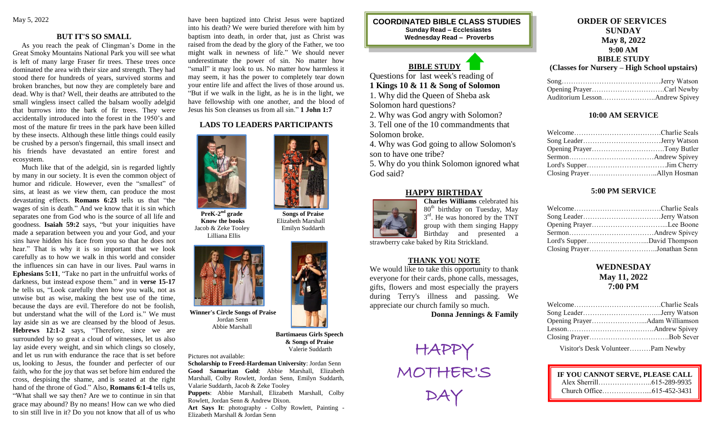## **BUT IT'S SO SMALL**

 As you reach the peak of Clingman's Dome in the Great Smoky Mountains National Park you will see what is left of many large Fraser fir trees. These trees once dominated the area with their size and strength. They had stood there for hundreds of years, survived storms and broken branches, but now they are completely bare and dead. Why is that? Well, their deaths are attributed to the small wingless insect called the balsam woolly adelgid that burrows into the bark of fir trees. They were accidentally introduced into the forest in the 1950's and most of the mature fir trees in the park have been killed by these insects. Although these little things could easily be crushed by a person's fingernail, this small insect and his friends have devastated an entire forest and ecosystem.

 Much like that of the adelgid, sin is regarded lightly by many in our society. It is even the common object of humor and ridicule. However, even the "smallest" of sins, at least as we view them, can produce the most devastating effects. **Romans 6:23** tells us that "the wages of sin is death." And we know that it is sin which separates one from God who is the source of all life and goodness. **Isaiah 59:2** says, "but your iniquities have made a separation between you and your God, and your sins have hidden his face from you so that he does not hear." That is why it is so important that we look carefully as to how we walk in this world and consider the influences sin can have in our lives. Paul warns in **Ephesians 5:11**, "Take no part in the unfruitful works of darkness, but instead expose them." and in **verse 15-17** he tells us, "Look carefully then how you walk, not as unwise but as wise, making the best use of the time, because the days are evil. Therefore do not be foolish, but understand what the will of the Lord is." We must lay aside sin as we are cleansed by the blood of Jesus. **Hebrews 12:1-2** says, "Therefore, since we are surrounded by so great a cloud of witnesses, let us also lay aside every weight, and sin which clings so closely, and let us run with endurance the race that is set before us, looking to Jesus, the founder and perfecter of our faith, who for the joy that was set before him endured the cross, despising the shame, and is seated at the right hand of the throne of God." Also, **Romans 6:1-4** tells us, "What shall we say then? Are we to continue in sin that grace may abound? By no means! How can we who died to sin still live in it? Do you not know that all of us who have been baptized into Christ Jesus were baptized into his death? We were buried therefore with him by baptism into death, in order that, just as Christ was raised from the dead by the glory of the Father, we too might walk in newness of life." We should never underestimate the power of sin. No matter how "small" it may look to us. No matter how harmless it may seem, it has the power to completely tear down your entire life and affect the lives of those around us. "But if we walk in the light, as he is in the light, we have fellowship with one another, and the blood of Jesus his Son cleanses us from all sin." **1 John 1:7**

## **LADS TO LEADERS PARTICIPANTS**



 **PreK-2 Know the books Elizabeth Marshall**  Jacob & Zeke Tooley Emilyn Suddarth Lilliana Ellis



 Jordan Senn Abbie Marshall

 **Bartimaeus Girls Speech & Songs of Praise** Valerie Suddarth

Pictures not available:

**Scholarship to Freed-Hardeman University**: Jordan Senn **Good Samaritan Gold**: Abbie Marshall, Elizabeth Marshall, Colby Rowlett, Jordan Senn, Emilyn Suddarth, Valarie Suddarth, Jacob & Zeke Tooley

**Puppets**: Abbie Marshall, Elizabeth Marshall, Colby Rowlett, Jordan Senn & Andrew Dixon.

**Art Says It**: photography - Colby Rowlett, Painting - Elizabeth Marshall & Jordan Senn

**COORDINATED BIBLE CLASS STUDIES Sunday Read – Ecclesiastes Wednesday Read – Proverbs**

# **BIBLE STUDY**

Questions for last week's reading of **1 Kings 10 & 11 & Song of Solomon**

1. Why did the Queen of Sheba ask

Solomon hard questions?

2. Why was God angry with Solomon? 3. Tell one of the 10 commandments that

Solomon broke.

4. Why was God going to allow Solomon's son to have one tribe?

5. Why do you think Solomon ignored what God said?

# **HAPPY BIRTHDAY**



**Charles Williams** celebrated his 80<sup>th</sup> birthday on Tuesday, May  $3<sup>rd</sup>$ . He was honored by the TNT group with them singing Happy Birthday and presented a

strawberry cake baked by Rita Strickland.

#### **THANK YOU NOTE**

We would like to take this opportunity to thank everyone for their cards, phone calls, messages, gifts, flowers and most especially the prayers during Terry's illness and passing. We appreciate our church family so much.

**Donna Jennings & Family**



**ORDER OF SERVICES SUNDAY May 8, 2022 9:00 AM BIBLE STUDY**

**(Classes for Nursery – High School upstairs)**

#### **10:00 AM SERVICE**

### **5:00 PM SERVICE**

| Closing PrayerJonathan Senn |  |
|-----------------------------|--|

# **WEDNESDAY May 11, 2022 7:00 PM**

Visitor's Desk Volunteer………Pam Newby

| IF YOU CANNOT SERVE, PLEASE CALL |  |
|----------------------------------|--|
|                                  |  |
|                                  |  |
|                                  |  |